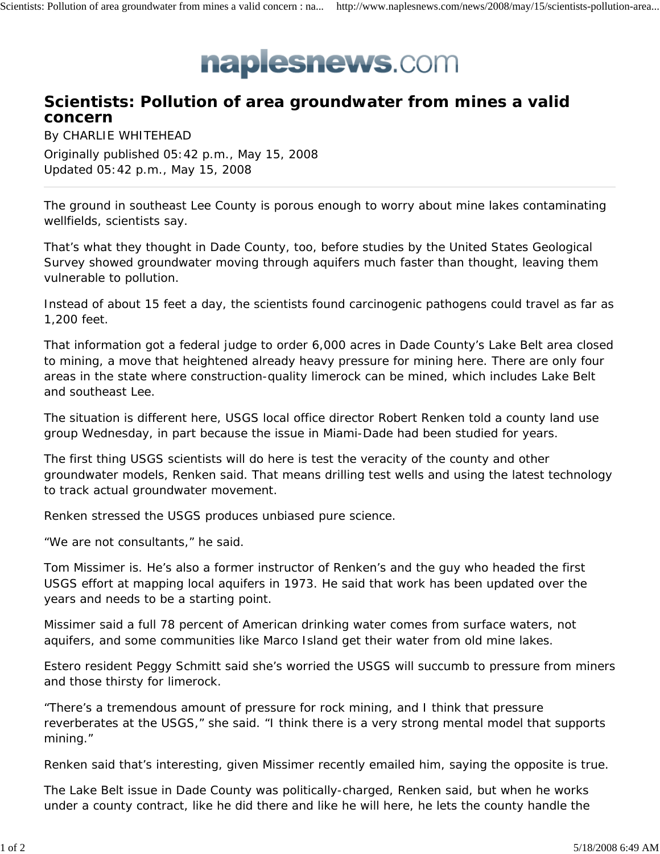## naplesnews.com

## **Scientists: Pollution of area groundwater from mines a valid concern**

By CHARLIE WHITEHEAD Originally published 05:42 p.m., May 15, 2008 Updated 05:42 p.m., May 15, 2008

The ground in southeast Lee County is porous enough to worry about mine lakes contaminating wellfields, scientists say.

That's what they thought in Dade County, too, before studies by the United States Geological Survey showed groundwater moving through aquifers much faster than thought, leaving them vulnerable to pollution.

Instead of about 15 feet a day, the scientists found carcinogenic pathogens could travel as far as 1,200 feet.

That information got a federal judge to order 6,000 acres in Dade County's Lake Belt area closed to mining, a move that heightened already heavy pressure for mining here. There are only four areas in the state where construction-quality limerock can be mined, which includes Lake Belt and southeast Lee.

The situation is different here, USGS local office director Robert Renken told a county land use group Wednesday, in part because the issue in Miami-Dade had been studied for years.

The first thing USGS scientists will do here is test the veracity of the county and other groundwater models, Renken said. That means drilling test wells and using the latest technology to track actual groundwater movement.

Renken stressed the USGS produces unbiased pure science.

"We are not consultants," he said.

Tom Missimer is. He's also a former instructor of Renken's and the guy who headed the first USGS effort at mapping local aquifers in 1973. He said that work has been updated over the years and needs to be a starting point.

Missimer said a full 78 percent of American drinking water comes from surface waters, not aquifers, and some communities like Marco Island get their water from old mine lakes.

Estero resident Peggy Schmitt said she's worried the USGS will succumb to pressure from miners and those thirsty for limerock.

"There's a tremendous amount of pressure for rock mining, and I think that pressure reverberates at the USGS," she said. "I think there is a very strong mental model that supports mining."

Renken said that's interesting, given Missimer recently emailed him, saying the opposite is true.

The Lake Belt issue in Dade County was politically-charged, Renken said, but when he works under a county contract, like he did there and like he will here, he lets the county handle the